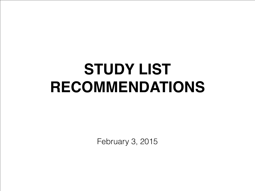# **STUDY LIST RECOMMENDATIONS**

February 3, 2015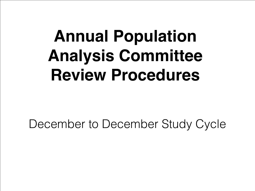# **Annual Population Analysis Committee Review Procedures**

December to December Study Cycle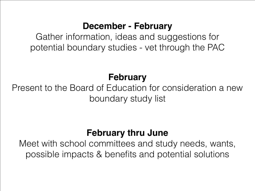### **December - February**

Gather information, ideas and suggestions for potential boundary studies - vet through the PAC

## **February**

Present to the Board of Education for consideration a new boundary study list

## **February thru June**

Meet with school committees and study needs, wants, possible impacts & benefits and potential solutions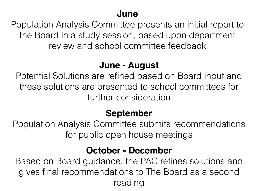#### **June**

Population Analysis Committee presents an initial report to the Board in a study session, based upon department review and school committee feedback

### **June - August**

Potential Solutions are refined based on Board input and these solutions are presented to school committees for further consideration

## **September**

Population Analysis Committee submits recommendations for public open house meetings

### **October - December**

Based on Board guidance, the PAC refines solutions and gives final recommendations to The Board as a second reading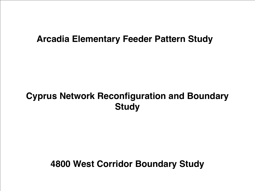#### **Arcadia Elementary Feeder Pattern Study**

## **Cyprus Network Reconfiguration and Boundary Study**

#### **4800 West Corridor Boundary Study**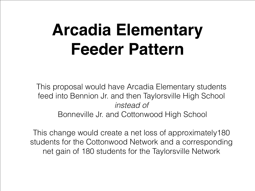# **Arcadia Elementary Feeder Pattern**

This proposal would have Arcadia Elementary students feed into Bennion Jr. and then Taylorsville High School *instead of*  Bonneville Jr. and Cottonwood High School

This change would create a net loss of approximately180 students for the Cottonwood Network and a corresponding net gain of 180 students for the Taylorsville Network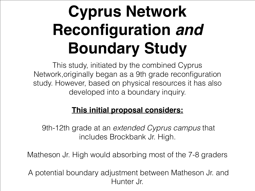# **Cyprus Network Reconfiguration** *and* **Boundary Study**

This study, initiated by the combined Cyprus Network,originally began as a 9th grade reconfiguration study. However, based on physical resources it has also developed into a boundary inquiry.

#### **This initial proposal considers:**

 9th-12th grade at an *extended Cyprus campus* that includes Brockbank Jr. High.

Matheson Jr. High would absorbing most of the 7-8 graders

 A potential boundary adjustment between Matheson Jr. and Hunter Jr.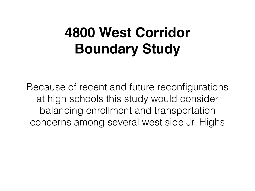# **4800 West Corridor Boundary Study**

Because of recent and future reconfigurations at high schools this study would consider balancing enrollment and transportation concerns among several west side Jr. Highs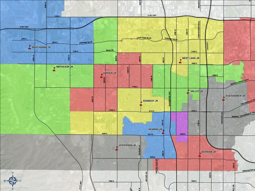